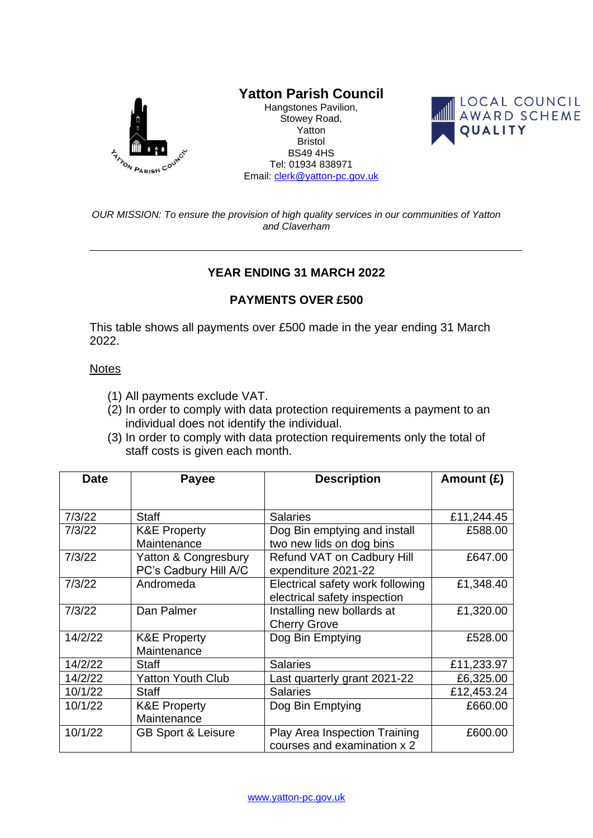

## **Yatton Parish Council**

Hangstones Pavilion, Stowey Road, Yatton Bristol BS49 4HS Tel: 01934 838971 Email: [clerk@yatton-pc.gov.uk](mailto:clerk@yatton-pc.gov.uk)



*OUR MISSION: To ensure the provision of high quality services in our communities of Yatton and Claverham*

## **YEAR ENDING 31 MARCH 2022**

## **PAYMENTS OVER £500**

This table shows all payments over £500 made in the year ending 31 March 2022.

## **Notes**

- (1) All payments exclude VAT.
- (2) In order to comply with data protection requirements a payment to an individual does not identify the individual.
- (3) In order to comply with data protection requirements only the total of staff costs is given each month.

| <b>Date</b> | <b>Payee</b>                  | <b>Description</b>               | Amount (£) |
|-------------|-------------------------------|----------------------------------|------------|
|             |                               |                                  |            |
| 7/3/22      | <b>Staff</b>                  | <b>Salaries</b>                  | £11,244.45 |
| 7/3/22      | <b>K&amp;E Property</b>       | Dog Bin emptying and install     | £588.00    |
|             | Maintenance                   | two new lids on dog bins         |            |
| 7/3/22      | Yatton & Congresbury          | Refund VAT on Cadbury Hill       | £647.00    |
|             | PC's Cadbury Hill A/C         | expenditure 2021-22              |            |
| 7/3/22      | Andromeda                     | Electrical safety work following | £1,348.40  |
|             |                               | electrical safety inspection     |            |
| 7/3/22      | Dan Palmer                    | Installing new bollards at       | £1,320.00  |
|             |                               | <b>Cherry Grove</b>              |            |
| 14/2/22     | <b>K&amp;E Property</b>       | Dog Bin Emptying                 | £528.00    |
|             | Maintenance                   |                                  |            |
| 14/2/22     | <b>Staff</b>                  | <b>Salaries</b>                  | £11,233.97 |
| 14/2/22     | <b>Yatton Youth Club</b>      | Last quarterly grant 2021-22     | £6,325.00  |
| 10/1/22     | <b>Staff</b>                  | <b>Salaries</b>                  | £12,453.24 |
| 10/1/22     | <b>K&amp;E Property</b>       | Dog Bin Emptying                 | £660.00    |
|             | Maintenance                   |                                  |            |
| 10/1/22     | <b>GB Sport &amp; Leisure</b> | Play Area Inspection Training    | £600.00    |
|             |                               | courses and examination x 2      |            |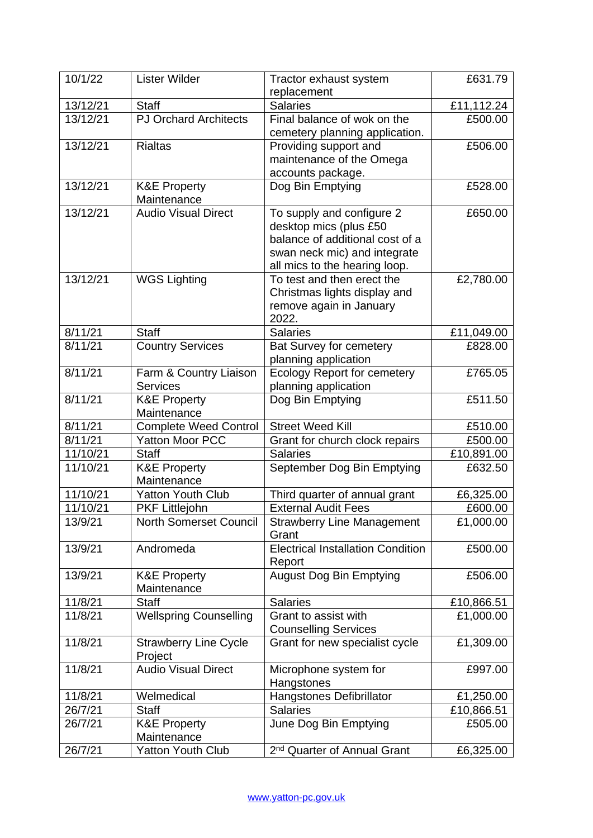| 10/1/22  | <b>Lister Wilder</b>                      | Tractor exhaust system                                                                                                                                  | £631.79    |
|----------|-------------------------------------------|---------------------------------------------------------------------------------------------------------------------------------------------------------|------------|
|          |                                           | replacement                                                                                                                                             |            |
| 13/12/21 | <b>Staff</b>                              | <b>Salaries</b>                                                                                                                                         | £11,112.24 |
| 13/12/21 | <b>PJ Orchard Architects</b>              | Final balance of wok on the<br>cemetery planning application.                                                                                           | £500.00    |
| 13/12/21 | <b>Rialtas</b>                            | Providing support and<br>maintenance of the Omega<br>accounts package.                                                                                  | £506.00    |
| 13/12/21 | <b>K&amp;E Property</b><br>Maintenance    | Dog Bin Emptying                                                                                                                                        | £528.00    |
| 13/12/21 | <b>Audio Visual Direct</b>                | To supply and configure 2<br>desktop mics (plus £50<br>balance of additional cost of a<br>swan neck mic) and integrate<br>all mics to the hearing loop. | £650.00    |
| 13/12/21 | <b>WGS Lighting</b>                       | To test and then erect the<br>Christmas lights display and<br>remove again in January<br>2022.                                                          | £2,780.00  |
| 8/11/21  | <b>Staff</b>                              | <b>Salaries</b>                                                                                                                                         | £11,049.00 |
| 8/11/21  | <b>Country Services</b>                   | <b>Bat Survey for cemetery</b><br>planning application                                                                                                  | £828.00    |
| 8/11/21  | Farm & Country Liaison<br><b>Services</b> | <b>Ecology Report for cemetery</b><br>planning application                                                                                              | £765.05    |
| 8/11/21  | <b>K&amp;E Property</b><br>Maintenance    | Dog Bin Emptying                                                                                                                                        | £511.50    |
| 8/11/21  | <b>Complete Weed Control</b>              | <b>Street Weed Kill</b>                                                                                                                                 | £510.00    |
| 8/11/21  | <b>Yatton Moor PCC</b>                    | Grant for church clock repairs                                                                                                                          | £500.00    |
| 11/10/21 | <b>Staff</b>                              | <b>Salaries</b>                                                                                                                                         | £10,891.00 |
| 11/10/21 | <b>K&amp;E Property</b><br>Maintenance    | September Dog Bin Emptying                                                                                                                              | £632.50    |
| 11/10/21 | <b>Yatton Youth Club</b>                  | Third quarter of annual grant                                                                                                                           | £6,325.00  |
| 11/10/21 | <b>PKF Littlejohn</b>                     | <b>External Audit Fees</b>                                                                                                                              | £600.00    |
| 13/9/21  | <b>North Somerset Council</b>             | <b>Strawberry Line Management</b><br>Grant                                                                                                              | £1,000.00  |
| 13/9/21  | Andromeda                                 | <b>Electrical Installation Condition</b><br>Report                                                                                                      | £500.00    |
| 13/9/21  | <b>K&amp;E Property</b><br>Maintenance    | <b>August Dog Bin Emptying</b>                                                                                                                          | £506.00    |
| 11/8/21  | <b>Staff</b>                              | <b>Salaries</b>                                                                                                                                         | £10,866.51 |
| 11/8/21  | <b>Wellspring Counselling</b>             | Grant to assist with<br><b>Counselling Services</b>                                                                                                     | £1,000.00  |
| 11/8/21  | <b>Strawberry Line Cycle</b><br>Project   | Grant for new specialist cycle                                                                                                                          | £1,309.00  |
| 11/8/21  | <b>Audio Visual Direct</b>                | Microphone system for<br>Hangstones                                                                                                                     | £997.00    |
| 11/8/21  | Welmedical                                | Hangstones Defibrillator                                                                                                                                | £1,250.00  |
| 26/7/21  | <b>Staff</b>                              | <b>Salaries</b>                                                                                                                                         | £10,866.51 |
| 26/7/21  | <b>K&amp;E Property</b><br>Maintenance    | June Dog Bin Emptying                                                                                                                                   | £505.00    |
| 26/7/21  | <b>Yatton Youth Club</b>                  | 2 <sup>nd</sup> Quarter of Annual Grant                                                                                                                 | £6,325.00  |